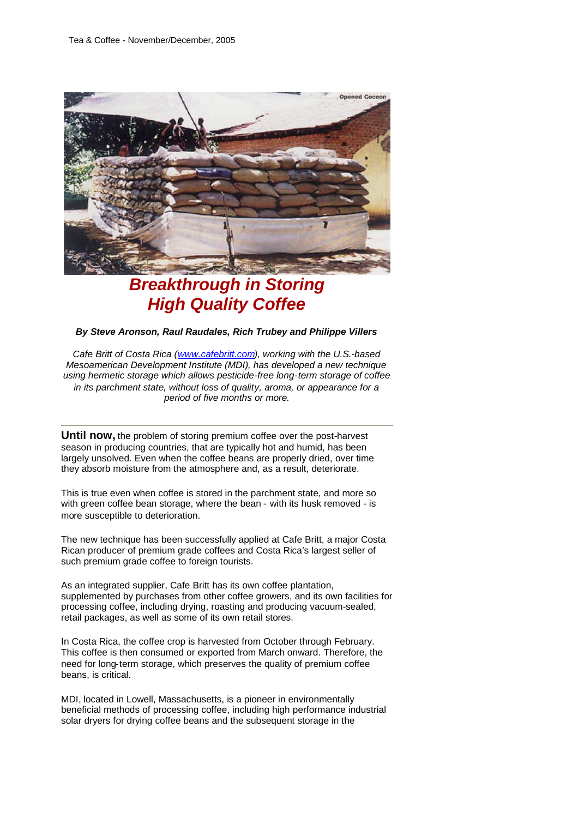

# *Breakthrough in Storing High Quality Coffee*

#### *By Steve Aronson, Raul Raudales, Rich Trubey and Philippe Villers*

*Cafe Britt of Costa Rica (www.cafebritt.com), working with the U.S.-based Mesoamerican Development Institute (MDI), has developed a new technique using hermetic storage which allows pesticide-free long-term storage of coffee in its parchment state, without loss of quality, aroma, or appearance for a period of five months or more.*

**Until now,** the problem of storing premium coffee over the post-harvest season in producing countries, that are typically hot and humid, has been largely unsolved. Even when the coffee beans are properly dried, over time they absorb moisture from the atmosphere and, as a result, deteriorate.

This is true even when coffee is stored in the parchment state, and more so with green coffee bean storage, where the bean - with its husk removed - is more susceptible to deterioration.

The new technique has been successfully applied at Cafe Britt, a major Costa Rican producer of premium grade coffees and Costa Rica's largest seller of such premium grade coffee to foreign tourists.

As an integrated supplier, Cafe Britt has its own coffee plantation, supplemented by purchases from other coffee growers, and its own facilities for processing coffee, including drying, roasting and producing vacuum-sealed, retail packages, as well as some of its own retail stores.

In Costa Rica, the coffee crop is harvested from October through February. This coffee is then consumed or exported from March onward. Therefore, the need for long-term storage, which preserves the quality of premium coffee beans, is critical.

MDI, located in Lowell, Massachusetts, is a pioneer in environmentally beneficial methods of processing coffee, including high performance industrial solar dryers for drying coffee beans and the subsequent storage in the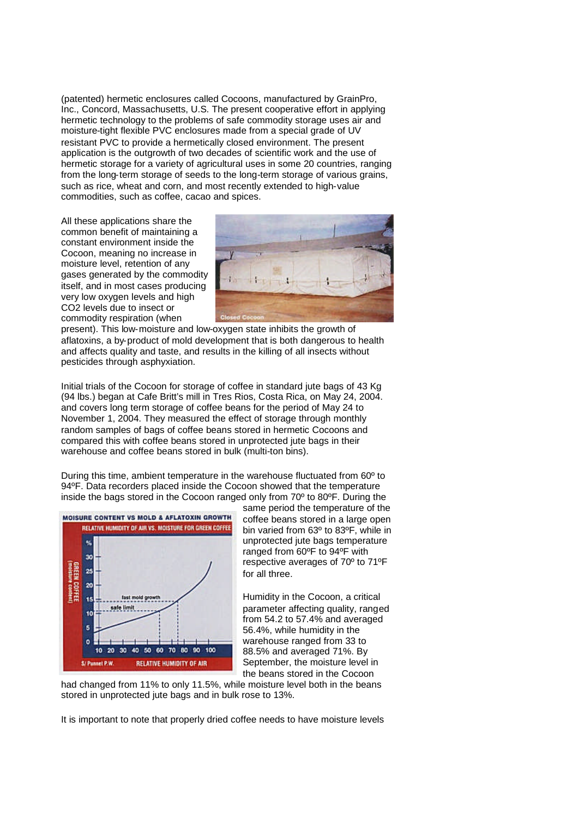(patented) hermetic enclosures called Cocoons, manufactured by GrainPro, Inc., Concord, Massachusetts, U.S. The present cooperative effort in applying hermetic technology to the problems of safe commodity storage uses air and moisture-tight flexible PVC enclosures made from a special grade of UV resistant PVC to provide a hermetically closed environment. The present application is the outgrowth of two decades of scientific work and the use of hermetic storage for a variety of agricultural uses in some 20 countries, ranging from the long-term storage of seeds to the long-term storage of various grains, such as rice, wheat and corn, and most recently extended to high-value commodities, such as coffee, cacao and spices.

All these applications share the common benefit of maintaining a constant environment inside the Cocoon, meaning no increase in moisture level, retention of any gases generated by the commodity itself, and in most cases producing very low oxygen levels and high CO2 levels due to insect or commodity respiration (when



present). This low-moisture and low-oxygen state inhibits the growth of aflatoxins, a by-product of mold development that is both dangerous to health and affects quality and taste, and results in the killing of all insects without pesticides through asphyxiation.

Initial trials of the Cocoon for storage of coffee in standard jute bags of 43 Kg (94 lbs.) began at Cafe Britt's mill in Tres Rios, Costa Rica, on May 24, 2004. and covers long term storage of coffee beans for the period of May 24 to November 1, 2004. They measured the effect of storage through monthly random samples of bags of coffee beans stored in hermetic Cocoons and compared this with coffee beans stored in unprotected jute bags in their warehouse and coffee beans stored in bulk (multi-ton bins).

During this time, ambient temperature in the warehouse fluctuated from 60º to 94ºF. Data recorders placed inside the Cocoon showed that the temperature inside the bags stored in the Cocoon ranged only from 70º to 80ºF. During the



same period the temperature of the coffee beans stored in a large open bin varied from 63º to 83ºF, while in unprotected jute bags temperature ranged from 60ºF to 94ºF with respective averages of 70º to 71ºF for all three.

Humidity in the Cocoon, a critical parameter affecting quality, ranged from 54.2 to 57.4% and averaged 56.4%, while humidity in the warehouse ranged from 33 to 88.5% and averaged 71%. By September, the moisture level in the beans stored in the Cocoon

had changed from 11% to only 11.5%, while moisture level both in the beans stored in unprotected jute bags and in bulk rose to 13%.

It is important to note that properly dried coffee needs to have moisture levels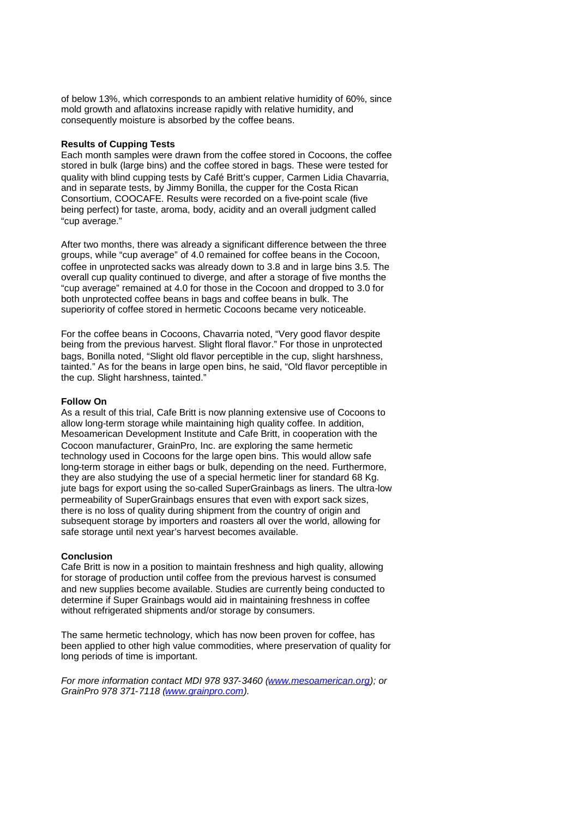of below 13%, which corresponds to an ambient relative humidity of 60%, since mold growth and aflatoxins increase rapidly with relative humidity, and consequently moisture is absorbed by the coffee beans.

## **Results of Cupping Tests**

Each month samples were drawn from the coffee stored in Cocoons, the coffee stored in bulk (large bins) and the coffee stored in bags. These were tested for quality with blind cupping tests by Café Britt's cupper, Carmen Lidia Chavarria, and in separate tests, by Jimmy Bonilla, the cupper for the Costa Rican Consortium, COOCAFE. Results were recorded on a five-point scale (five being perfect) for taste, aroma, body, acidity and an overall judgment called "cup average."

After two months, there was already a significant difference between the three groups, while "cup average" of 4.0 remained for coffee beans in the Cocoon, coffee in unprotected sacks was already down to 3.8 and in large bins 3.5. The overall cup quality continued to diverge, and after a storage of five months the "cup average" remained at 4.0 for those in the Cocoon and dropped to 3.0 for both unprotected coffee beans in bags and coffee beans in bulk. The superiority of coffee stored in hermetic Cocoons became very noticeable.

For the coffee beans in Cocoons, Chavarria noted, "Very good flavor despite being from the previous harvest. Slight floral flavor." For those in unprotected bags, Bonilla noted, "Slight old flavor perceptible in the cup, slight harshness, tainted." As for the beans in large open bins, he said, "Old flavor perceptible in the cup. Slight harshness, tainted."

### **Follow On**

As a result of this trial, Cafe Britt is now planning extensive use of Cocoons to allow long-term storage while maintaining high quality coffee. In addition, Mesoamerican Development Institute and Cafe Britt, in cooperation with the Cocoon manufacturer, GrainPro, Inc. are exploring the same hermetic technology used in Cocoons for the large open bins. This would allow safe long-term storage in either bags or bulk, depending on the need. Furthermore, they are also studying the use of a special hermetic liner for standard 68 Kg. jute bags for export using the so-called SuperGrainbags as liners. The ultra-low permeability of SuperGrainbags ensures that even with export sack sizes, there is no loss of quality during shipment from the country of origin and subsequent storage by importers and roasters all over the world, allowing for safe storage until next year's harvest becomes available.

#### **Conclusion**

Cafe Britt is now in a position to maintain freshness and high quality, allowing for storage of production until coffee from the previous harvest is consumed and new supplies become available. Studies are currently being conducted to determine if Super Grainbags would aid in maintaining freshness in coffee without refrigerated shipments and/or storage by consumers.

The same hermetic technology, which has now been proven for coffee, has been applied to other high value commodities, where preservation of quality for long periods of time is important.

*For more information contact MDI 978 937-3460 (www.mesoamerican.org); or GrainPro 978 371-7118 (www.grainpro.com).*